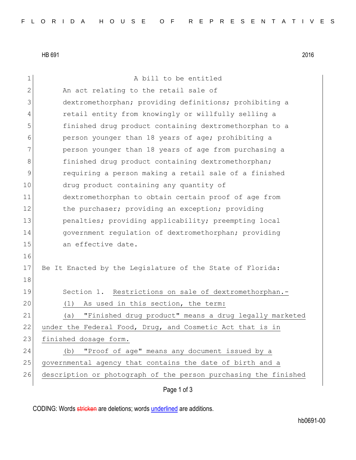HB 691 2016

| 1            | A bill to be entitled                                           |
|--------------|-----------------------------------------------------------------|
| $\mathbf{2}$ | An act relating to the retail sale of                           |
| 3            | dextromethorphan; providing definitions; prohibiting a          |
| 4            | retail entity from knowingly or willfully selling a             |
| 5            | finished drug product containing dextromethorphan to a          |
| 6            | person younger than 18 years of age; prohibiting a              |
| 7            | person younger than 18 years of age from purchasing a           |
| 8            | finished drug product containing dextromethorphan;              |
| 9            | requiring a person making a retail sale of a finished           |
| 10           | drug product containing any quantity of                         |
| 11           | dextromethorphan to obtain certain proof of age from            |
| 12           | the purchaser; providing an exception; providing                |
| 13           | penalties; providing applicability; preempting local            |
| 14           | government regulation of dextromethorphan; providing            |
| 15           | an effective date.                                              |
| 16           |                                                                 |
| 17           | Be It Enacted by the Legislature of the State of Florida:       |
| 18           |                                                                 |
| 19           | Section 1. Restrictions on sale of dextromethorphan.-           |
| 20           | As used in this section, the term:<br>(1)                       |
| 21           | "Finished drug product" means a drug legally marketed<br>(a)    |
| 22           | under the Federal Food, Drug, and Cosmetic Act that is in       |
| 23           | finished dosage form.                                           |
| 24           | "Proof of age" means any document issued by a<br>(b)            |
| 25           | governmental agency that contains the date of birth and a       |
| 26           | description or photograph of the person purchasing the finished |
|              | Page 1 of 3                                                     |
|              |                                                                 |

CODING: Words stricken are deletions; words underlined are additions.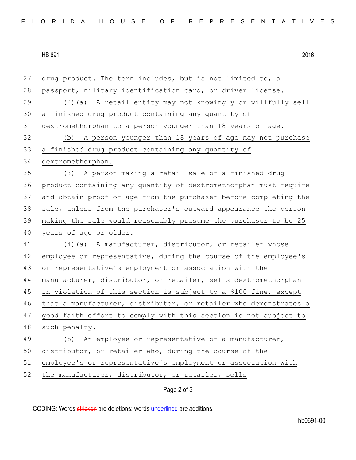## HB 691 2016

| 27 | drug product. The term includes, but is not limited to, a        |
|----|------------------------------------------------------------------|
| 28 | passport, military identification card, or driver license.       |
| 29 | (2) (a) A retail entity may not knowingly or willfully sell      |
| 30 | a finished drug product containing any quantity of               |
| 31 | dextromethorphan to a person younger than 18 years of age.       |
| 32 | (b) A person younger than 18 years of age may not purchase       |
| 33 | a finished drug product containing any quantity of               |
| 34 | dextromethorphan.                                                |
| 35 | (3) A person making a retail sale of a finished drug             |
| 36 | product containing any quantity of dextromethorphan must require |
| 37 | and obtain proof of age from the purchaser before completing the |
| 38 | sale, unless from the purchaser's outward appearance the person  |
| 39 | making the sale would reasonably presume the purchaser to be 25  |
| 40 | years of age or older.                                           |
| 41 | (4) (a) A manufacturer, distributor, or retailer whose           |
| 42 | employee or representative, during the course of the employee's  |
| 43 | or representative's employment or association with the           |
| 44 | manufacturer, distributor, or retailer, sells dextromethorphan   |
| 45 | in violation of this section is subject to a \$100 fine, except  |
| 46 | that a manufacturer, distributor, or retailer who demonstrates a |
| 47 | good faith effort to comply with this section is not subject to  |
| 48 | such penalty.                                                    |
| 49 | An employee or representative of a manufacturer,<br>(b)          |
| 50 | distributor, or retailer who, during the course of the           |
| 51 | employee's or representative's employment or association with    |
| 52 | the manufacturer, distributor, or retailer, sells                |
|    | Page 2 of 3                                                      |

CODING: Words stricken are deletions; words underlined are additions.